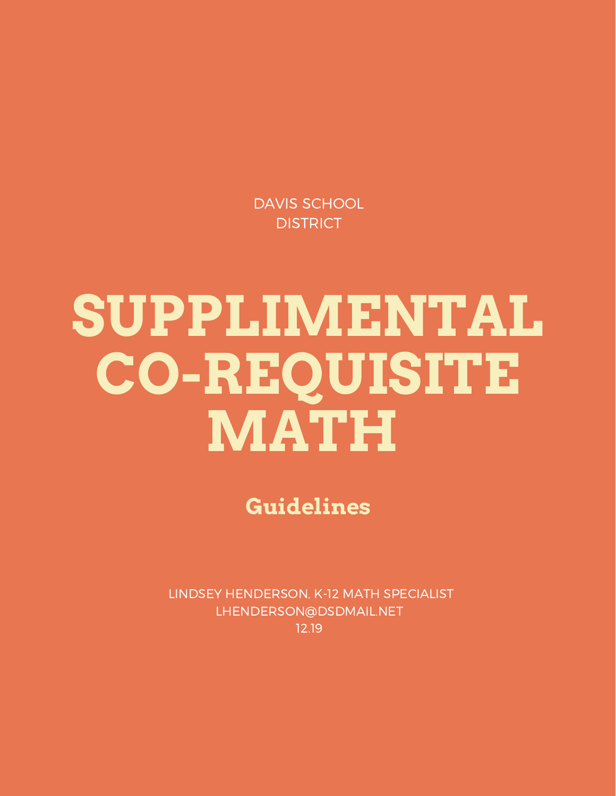DAVIS SCHOOL **DISTRICT** 

# **SUPPLIMENTAL CO-REQUISITE MATH**

**Guidelines**

LINDSEY HENDERSON, K-12 MATH SPECIALIST LHENDERSON@DSDMAIL.NET 12.19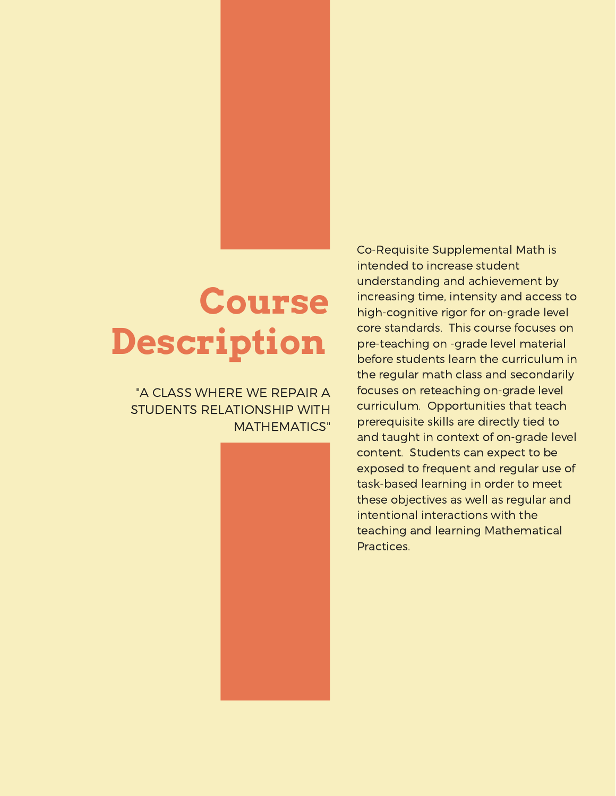# **Course Description**

# "A CLASS WHERE WE REPAIR A STUDENTS RELATIONSHIP WITH MATHEMATICS"



Co-Requisite Supplemental Math is intended to increase student understanding and achievement by increasing time, intensity and access to high-cognitive rigor for on-grade level core standards. This course focuses on pre-teaching on -grade level material before students learn the curriculum in the regular math class and secondarily focuses on reteaching on-grade level curriculum. Opportunities that teach prerequisite skills are directly tied to and taught in context of on-grade level content. Students can expect to be exposed to frequent and regular use of task-based learning in order to meet these objectives as well as regular and intentional interactions with the teaching and learning Mathematical Practices.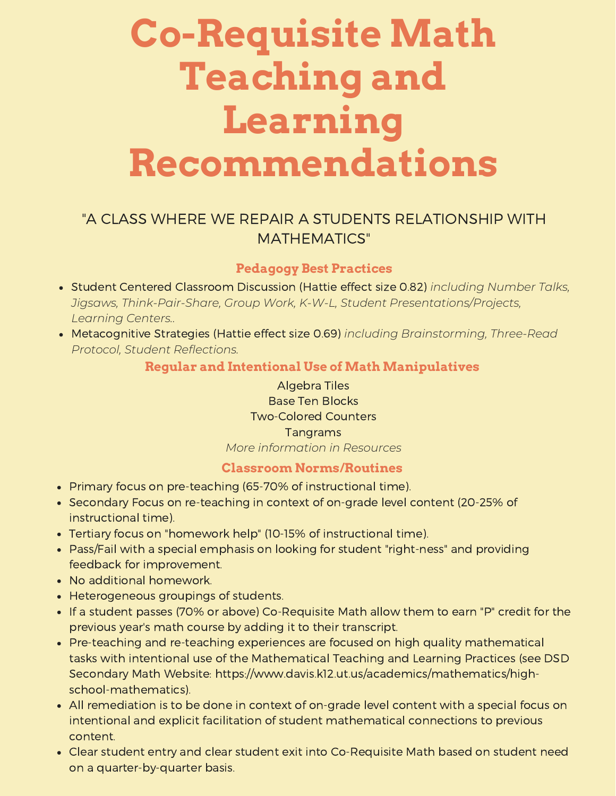# **Co-Requisite Math Teaching and Learning Recommendations**

# "A CLASS WHERE WE REPAIR A STUDENTS RELATIONSHIP WITH MATHEMATICS"

# **Pedagogy Best Practices**

- Student Centered Classroom Discussion (Hattie effect size 0.82) *including Number Talks, Jigsaws, Think-Pair-Share, Group Work, K-W-L, Student [Presentations/Projects,](https://www.nctm.org/Publications/Mathematics-Teacher/2018/Vol112/Issue1/mt2018-09-048a/) Learning Centers..*
- Metacognitive Strategies (Hattie effect size 0.69) *including Brainstorming, Three-Read Protocol, Student Reflections.*

### **Regular and Intentional Use of Math Manipulatives**

Algebra Tiles Base Ten Blocks Two-Colored Counters Tangrams *More information in Resources*

#### **Classroom Norms/Routines**

- Primary focus on pre-teaching (65-70% of instructional time).
- Secondary Focus on re-teaching in context of on-grade level content (20-25% of instructional time).
- Tertiary focus on "homework help" (10-15% of instructional time).
- Pass/Fail with a special emphasis on looking for student "right-ness" and providing feedback for improvement.
- No additional homework.
- Heterogeneous groupings of students.
- If a student passes (70% or above) Co-Requisite Math allow them to earn "P" credit for the previous year's math course by adding it to their transcript.
- Pre-teaching and re-teaching experiences are focused on high quality mathematical tasks with intentional use of the Mathematical Teaching and Learning Practices (see DSD Secondary Math Website: https://www.davis.k12.ut.us/academics/mathematics/highschool-mathematics).
- All remediation is to be done in context of on-grade level content with a special focus on intentional and explicit facilitation of student mathematical connections to previous content.
- Clear student entry and clear student exit into Co-Requisite Math based on student need on a quarter-by-quarter basis.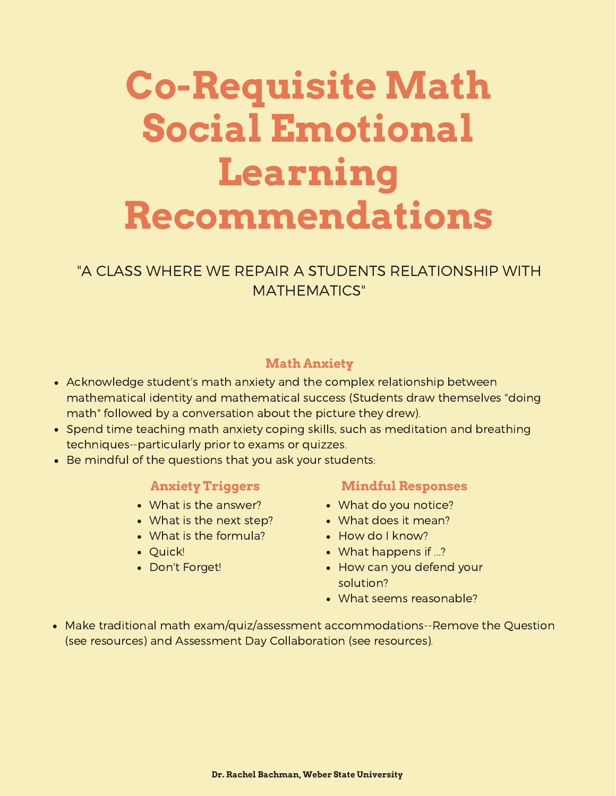# **Co-Requisite Math Social Emotional Learning Recommendations**

# "A CLASS WHERE WE REPAIR A STUDENTS RELATIONSHIP WITH MATHEMATICS"

# **Math Anxiety**

- Acknowledge student's math anxiety and the complex relationship between mathematical identity and mathematical success (Students draw themselves "doing math" followed by a conversation about the picture they drew).
- Spend time teaching math anxiety coping skills, such as meditation and breathing [techniques--particularly](https://www.nctm.org/Publications/Mathematics-Teacher/2018/Vol112/Issue1/mt2018-09-048a/) prior to exams or quizzes.
- Be mindful of the questions that you ask your students:

### **Anxiety Triggers**

- What is the answer?
- What is the next step?
- What is the [formula?](https://www.nctm.org/Publications/Mathematics-Teacher/2018/Vol112/Issue1/mt2018-09-048a/)
- Quick!
- Don't Forget!

### **Mindful Responses**

- What do you notice?
- What does it mean?
- How do I know?
- What happens if ...?
- How can you defend your solution?
- What seems [reasonable?](https://www.nctm.org/Publications/Mathematics-Teacher/2018/Vol112/Issue1/mt2018-09-048a/)
- Make traditional math exam/quiz/assessment [accommodations--Remove](https://www.nctm.org/Publications/Mathematics-Teacher/2018/Vol112/Issue1/mt2018-09-048a/) the Question (see resources) and Assessment Day Collaboration (see resources).